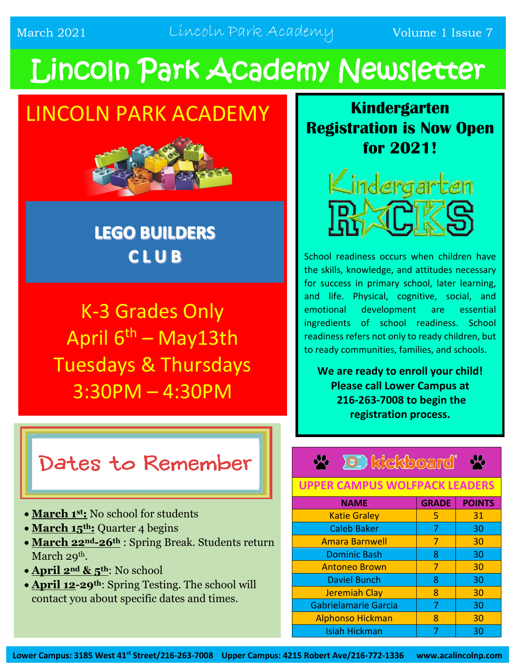March 2021 Lincoln Park Academy Volume 1 Issue 7

# Lincoln Park Academy Newsletter

## LINCOLN PARK ACADEMY



### **LEGO BUILDERS** CLUB

K-3 Grades Only April  $6^{th}$  – May13th Tuesdays & Thursdays 3:30PM – 4:30PM

### Dates to Remember

- **March 1st:** No school for students
- March 15<sup>th</sup>: Quarter 4 begins
- **March 22nd-26th** : Spring Break. Students return March 29<sup>th</sup>.
- **April 2nd & 5th**: No school
- **April 12-29th**: Spring Testing. The school will contact you about specific dates and times.

**Kindergarten Registration is Now Open for 2021!**



School readiness occurs when children have the skills, knowledge, and attitudes necessary for success in primary school, later learning, and life. Physical, cognitive, social, and emotional development are essential ingredients of school readiness. School readiness refers not only to ready children, but to ready communities, families, and schools.

**We are ready to enroll your child! Please call Lower Campus at 216-263-7008 to begin the registration process.**

### **D** kickboard

#### **UPPER CAMPUS WOLFPACK LEADERS**

| <b>NAME</b>                 | <b>GRADE</b> | <b>POINTS</b> |
|-----------------------------|--------------|---------------|
| <b>Katie Graley</b>         | 5            | 31            |
| <b>Caleb Baker</b>          | 7            | 30            |
| <b>Amara Barnwell</b>       |              | 30            |
| <b>Dominic Bash</b>         | 8            | 30            |
| <b>Antoneo Brown</b>        | 7            | 30            |
| <b>Daviel Bunch</b>         | 8            | 30            |
| <b>Jeremiah Clay</b>        | 8            | 30            |
| <b>Gabrielamarie Garcia</b> |              | 30            |
| <b>Alphonso Hickman</b>     | 8            | 30            |
| <b>Isiah Hickman</b>        |              | 30            |